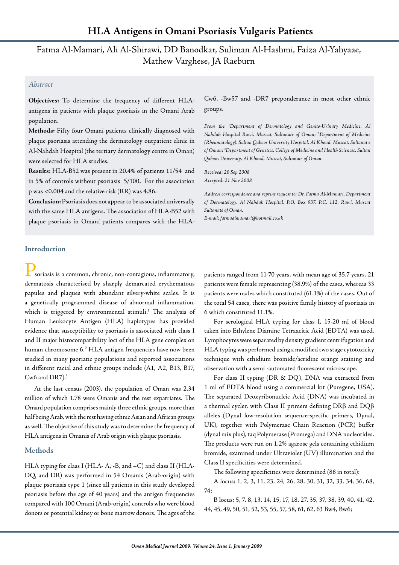# Fatma Al-Mamari, Ali Al-Shirawi, DD Banodkar, Suliman Al-Hashmi, Faiza Al-Yahyaae, Mathew Varghese, JA Raeburn

# *Abstract*

**Objectives:** To determine the frequency of different HLAantigens in patients with plaque psoriasis in the Omani Arab population.

**Methods:** Fifty four Omani patients clinically diagnosed with plaque psoriasis attending the dermatology outpatient clinic in Al-Nahdah Hospital (the tertiary dermatology centre in Oman) were selected for HLA studies.

**Results:** HLA-B52 was present in 20.4% of patients 11/54 and in 5% of controls without psoriasis 5/100. For the association p was <0.004 and the relative risk (RR) was 4.86.

**Conclusion:**Psoriasis does not appear to be associated universally with the same HLA antigens. The association of HLA-B52 with plaque psoriasis in Omani patients compares with the HLA-

Cw6, -Bw57 and -DR7 preponderance in most other ethnic groups.

*From the 1 Department of Dermatology and Genito-Urinary Medicine, Al Nahdah Hospital Ruwi, Muscat, Sultanate of Oman; 2 Department of Medicine (Rheumatology), Sultan Qaboos University Hospital, Al Khoud, Muscat, Sultanat e of Oman; 3 Department of Genetics, College of Medicine and Health Sciences, Sultan Qaboos University, Al Khoud, Muscat, Sultanate of Oman.*

*Received: 20 Sep 2008 Accepted: 21 Nov 2008*

*Address correspondence and reprint request to: Dr. Fatma Al-Mamari, Department of Dermatology, Al Nahdah Hospital, P.O. Box 937, P.C. 112, Ruwi, Muscat Sultanate of Oman.*

*E-mail: fatmaalmamari@hotmail.co.uk*

# **Introduction**

soriasis is a common, chronic, non-contagious, inflammatory, dermatosis characterised by sharply demarcated erythematous papules and plaques with abundant silvery-white scales. It is a genetically programmed disease of abnormal inflammation, which is triggered by environmental stimuli. 1 The analysis of Human Leukocyte Antigen (HLA) haplotypes has provided evidence that susceptibility to psoriasis is associated with class I and II major histocompatibility loci of the HLA gene complex on human chromosome 6.2 HLA antigen frequencies have now been studied in many psoriatic populations and reported associations in different racial and ethnic groups include (A1, A2, B13, B17, Cw6 and DR7). $3$ 

At the last census (2003), the population of Oman was 2.34 million of which 1.78 were Omanis and the rest expatriates. The Omani population comprises mainly three ethnic groups, more than half being Arab, with the rest having ethnic Asian and African groups as well. The objective of this study was to determine the frequency of HLA antigens in Omanis of Arab origin with plaque psoriasis.

## **Methods**

HLA typing for class I (HLA- A, -B, and –C) and class II (HLA-DQ, and DR) was performed in 54 Omanis (Arab-origin) with plaque psoriasis type 1 (since all patients in this study developed psoriasis before the age of 40 years) and the antigen frequencies compared with 100 Omani (Arab-origin) controls who were blood donors or potential kidney or bone marrow donors. The ages of the

patients ranged from 11-70 years, with mean age of 35.7 years. 21 patients were female representing (38.9%) of the cases, whereas 33 patients were males which constituted (61.1%) of the cases. Out of the total 54 cases, there was positive family history of psoriasis in 6 which constituted 11.1%.

For serological HLA typing for class I, 15-20 ml of blood taken into Ethylene Diamine Tetraacitic Acid (EDTA) was used. Lymphocytes were separated by density gradient centrifugation and HLA typing was performed using a modified two stage cytotoxicity technique with ethidium bromide/acridine orange staining and observation with a semi -automated fluorescent microscope.

For class II typing (DR & DQ), DNA was extracted from 1 ml of EDTA blood using a commercial kit (Puregene, USA). The separated Deoxyribonucleic Acid (DNA) was incubated in a thermal cycler, with Class II primers defining DRβ and DQβ alleles (Dynal low-resolution sequence-specific primers, Dynal, UK), together with Polymerase Chain Reaction (PCR) buffer (dynal mix plus), taq Polymerase (Promega) and DNA nucleotides. The products were run on 1.2% agarose gels containing ethidium bromide, examined under Ultraviolet (UV) illumination and the Class II specificities were determined.

The following specificities were determined (88 in total):

A locus: 1, 2, 3, 11, 23, 24, 26, 28, 30, 31, 32, 33, 34, 36, 68, 74;

B locus: 5, 7, 8, 13, 14, 15, 17, 18, 27, 35, 37, 38, 39, 40, 41, 42, 44, 45, 49, 50, 51, 52, 53, 55, 57, 58, 61, 62, 63 Bw4, Bw6;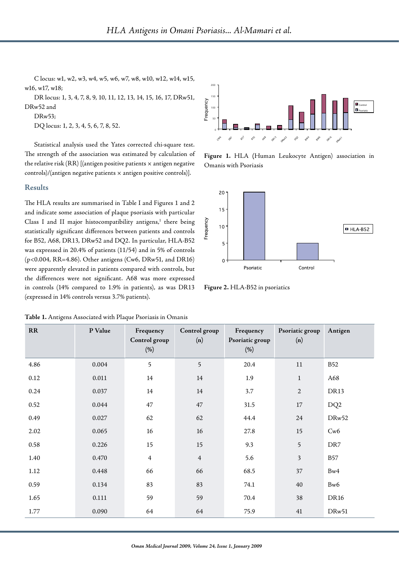C locus: w1, w2, w3, w4, w5, w6, w7, w8, w10, w12, w14, w15, w16, w17, w18;

DR locus: 1, 3, 4, 7, 8, 9, 10, 11, 12, 13, 14, 15, 16, 17, DRw51, DRw52 and

### **Results**

#### **Table 1.** Antigens Associated with Plaque Psoriasis in Omanis



**Figure 1.** HLA **(**Human Leukocyte Antigen) association in Omanis with Psoriasis



**Figure 2.** HLA-B52 in psoriatics

| DRw52 and<br>DRw53; | DQ locus: 1, 2, 3, 4, 5, 6, 7, 8, 52.<br>Statistical analysis used the Yates corrected chi-square test.<br>The strength of the association was estimated by calculation of<br>the relative risk $(RR)$ [(antigen positive patients $\times$ antigen negative                                                                                                                                                                                                                                                                                                                                                                                                                                                                                                                                                  |                                   | Frequency<br>$100\,$<br>50               | Figure 1. HLA (Human Leukocyte Antigen) association in<br>Omanis with Psoriasis |                        | $\blacksquare$ Control<br>$\blacksquare$ Psoriatio |
|---------------------|---------------------------------------------------------------------------------------------------------------------------------------------------------------------------------------------------------------------------------------------------------------------------------------------------------------------------------------------------------------------------------------------------------------------------------------------------------------------------------------------------------------------------------------------------------------------------------------------------------------------------------------------------------------------------------------------------------------------------------------------------------------------------------------------------------------|-----------------------------------|------------------------------------------|---------------------------------------------------------------------------------|------------------------|----------------------------------------------------|
| <b>Results</b>      | controls)/(antigen negative patients x antigen positive controls)].                                                                                                                                                                                                                                                                                                                                                                                                                                                                                                                                                                                                                                                                                                                                           |                                   |                                          |                                                                                 |                        |                                                    |
|                     | The HLA results are summarised in Table I and Figures 1 and 2<br>and indicate some association of plaque psoriasis with particular<br>Class I and II major histocompatibility antigens, <sup>1</sup> there being<br>statistically significant differences between patients and controls<br>for B52, A68, DR13, DRw52 and DQ2. In particular, HLA-B52<br>was expressed in 20.4% of patients (11/54) and in 5% of controls<br>(p<0.004, RR=4.86). Other antigens (Cw6, DRw51, and DR16)<br>were apparently elevated in patients compared with controls, but<br>the differences were not significant. A68 was more expressed<br>in controls (14% compared to 1.9% in patients), as was DR13<br>(expressed in 14% controls versus 3.7% patients).<br>Table 1. Antigens Associated with Plaque Psoriasis in Omanis |                                   | 20<br>15 <sup>1</sup><br>Frequency<br>10 | $5 -$<br>0<br>Psoriatic<br>Figure 2. HLA-B52 in psoriatics                      | Control                | $HLA-B52$                                          |
| <b>RR</b>           | P Value                                                                                                                                                                                                                                                                                                                                                                                                                                                                                                                                                                                                                                                                                                                                                                                                       | Frequency<br>Control group<br>(%) | Control group<br>(n)                     | Frequency<br>Psoriatic group<br>(%)                                             | Psoriatic group<br>(n) | Antigen                                            |
| 4.86                | 0.004                                                                                                                                                                                                                                                                                                                                                                                                                                                                                                                                                                                                                                                                                                                                                                                                         | 5                                 | 5                                        | 20.4                                                                            | 11                     | <b>B52</b>                                         |
| 0.12                | 0.011                                                                                                                                                                                                                                                                                                                                                                                                                                                                                                                                                                                                                                                                                                                                                                                                         | 14                                | 14                                       | 1.9                                                                             | 1                      | A68                                                |
| 0.24                | 0.037                                                                                                                                                                                                                                                                                                                                                                                                                                                                                                                                                                                                                                                                                                                                                                                                         | 14                                | 14                                       | 3.7                                                                             | 2                      | DR13                                               |
| 0.52                | 0.044                                                                                                                                                                                                                                                                                                                                                                                                                                                                                                                                                                                                                                                                                                                                                                                                         | 47                                | 47                                       | 31.5                                                                            | $17\,$                 | DQ <sub>2</sub>                                    |
| 0.49                | 0.027                                                                                                                                                                                                                                                                                                                                                                                                                                                                                                                                                                                                                                                                                                                                                                                                         | 62                                | 62                                       | 44.4                                                                            | 24                     | DRw52                                              |
| 2.02                | 0.065                                                                                                                                                                                                                                                                                                                                                                                                                                                                                                                                                                                                                                                                                                                                                                                                         | $16\,$                            | $16\,$                                   | 27.8                                                                            | 15                     | Cw6                                                |
| 0.58                | 0.226                                                                                                                                                                                                                                                                                                                                                                                                                                                                                                                                                                                                                                                                                                                                                                                                         | $15\,$                            | 15                                       | 9.3                                                                             | $\mathfrak s$          | DR7                                                |
| 1.40                | 0.470                                                                                                                                                                                                                                                                                                                                                                                                                                                                                                                                                                                                                                                                                                                                                                                                         | $\overline{4}$                    | $\overline{4}$                           | 5.6                                                                             | 3                      | <b>B57</b>                                         |
| $1.12\,$            | 0.448                                                                                                                                                                                                                                                                                                                                                                                                                                                                                                                                                                                                                                                                                                                                                                                                         | 66                                | 66                                       | 68.5                                                                            | $37\,$                 | Bw4                                                |
| 0.59                | 0.134                                                                                                                                                                                                                                                                                                                                                                                                                                                                                                                                                                                                                                                                                                                                                                                                         | 83                                | 83                                       | 74.1                                                                            | 40                     | Bw6                                                |
| 1.65                | $0.111\,$                                                                                                                                                                                                                                                                                                                                                                                                                                                                                                                                                                                                                                                                                                                                                                                                     | 59                                | 59                                       | 70.4                                                                            | 38                     | <b>DR16</b>                                        |
| 1.77                | 0.090                                                                                                                                                                                                                                                                                                                                                                                                                                                                                                                                                                                                                                                                                                                                                                                                         | 64                                | 64                                       | 75.9                                                                            | 41                     | DRw51                                              |